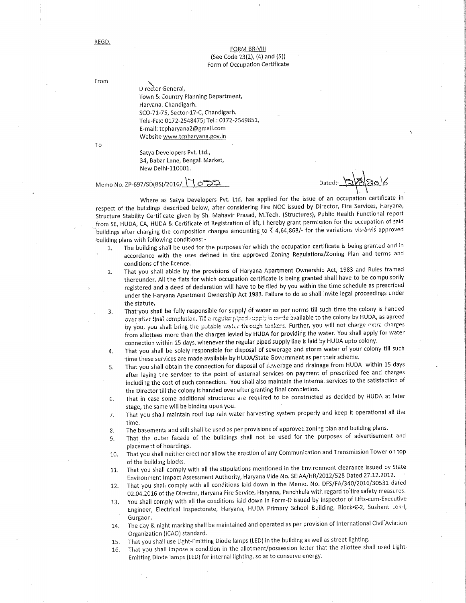## FORM BR-VIII (See Code 23(2), (4) and (5)) Form of Occupation Certificate

From

Director General, Town & Country Planning Department, Haryana, Chandigarh. SCO-71-75, Sector-17-C, Chandigarh. Tele-Fax: 0172-2548475; Tel.: 0172-2549851, E-mail: tcpharyana2@gmail.com Website www.tcpharyana.gov.in

To

Satya Developers Pvt. Ltd., 34, Babar Lane, Bengali Market, New Delhi-110001.

## Memo No. ZP-697/SD(BS)/2016/ ెంెసి

Where as Satya Developers Pvt. Ltd. has applied for the issue of an occupation certificate in respect of the buildings described below, after considering Fire NOC issued by Director, Fire Services, Haryana, Structure Stability Certificate given by Sh. Mahavir Prasad, M.Tech. (Structures), Public Health Functional report from SE, HUDA, CA, HUDA & Certificate of Registration of lift, I hereby grant permission for the occupation of said buildings after charging the composition charges amounting to ₹ 4,64,868/- for the variations vis-à-vis approved building plans with following conditions: -

- The building shall be used for the purposes for which the occupation certificate is being granted and in 1. accordance with the uses defined in the approved Zoning Regulations/Zoning Plan and terms and conditions of the licence.
- That you shall abide by the provisions of Haryana Apartment Ownership Act, 1983 and Rules framed  $2.$ thereunder. All the flats for which occupation certificate is being granted shall have to be compulsorily registered and a deed of declaration will have to be filed by you within the time schedule as prescribed under the Haryana Apartment Ownership Act 1983. Failure to do so shall invite legal proceedings under the statute.
- That you shall be fully responsible for supply of water as per norms till such time the colony is handed 3. over after final completion. Till a regular piped supply is made available to the colony by HUDA, as agreed by you, you shall bring the potable water through tankers. Further, you will not charge extra charges from allottees more than the charges levied by HUDA for providing the water. You shall apply for water connection within 15 days, whenever the regular piped supply line is laid by HUDA upto colony.
- That you shall be solely responsible for disposal of sewerage and storm water of your colony till such 4. time these services are made available by HUDA/State Government as per their scheme.
- That you shall obtain the connection for disposal of sewerage and drainage from HUDA within 15 days 5. after laying the services to the point of external services on payment of prescribed fee and charges including the cost of such connection. You shall also maintain the internal services to the satisfaction of the Director till the colony is handed over after granting final completion.
- That in case some additional structures are required to be constructed as decided by HUDA at later 6. stage, the same will be binding upon you.
- That you shall maintain roof top rain water harvesting system properly and keep it operational all the  $7.$ time.
- The basements and stilt shall be used as per provisions of approved zoning plan and building plans.  $8.$
- That the outer facade of the buildings shall not be used for the purposes of advertisement and  $\mathbf{G}$ placement of hoardings.
- That you shall neither erect nor allow the erection of any Communication and Transmission Tower on top 10. of the building blocks.
- That you shall comply with all the stipulations mentioned in the Environment clearance issued by State  $11.$ Environment Impact Assessment Authority, Haryana Vide No. SEIAA/HR/2012/528 Dated 27.12.2012.
- That you shall comply with all conditions laid down in the Memo. No. DFS/FA/340/2016/30581 dated 12. 02.04.2016 of the Director, Haryana Fire Service, Haryana, Panchkula with regard to fire safety measures.
- You shall comply with all the conditions laid down in Form-D issued by Inspector of Lifts-cum-Executive 13. Engineer, Electrical Inspectorate, Haryana, HUDA Primary School Building, Block+C-2, Sushant Lok-I, Gurgaon.
- The day & night marking shall be maintained and operated as per provision of International Civil Aviation 14. Organization (ICAO) standard.
- That you shall use Light-Emitting Diode lamps (LED) in the building as well as street lighting. 15.
- That you shall impose a condition in the allotment/possession letter that the allottee shall used Light-16. Emitting Diode lamps (LED) for internal lighting, so as to conserve energy.

REGD.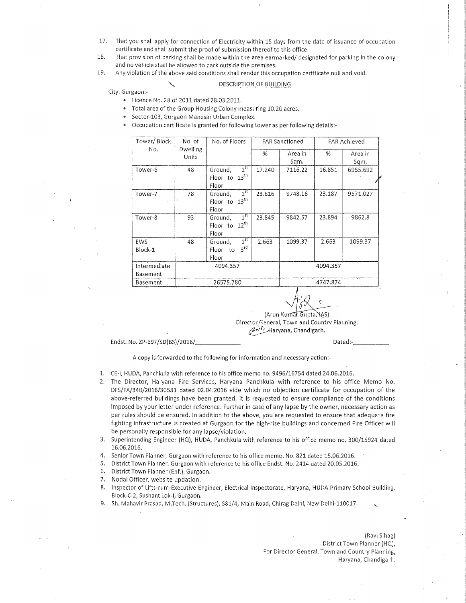- 17. That you shall apply for connection of Electricity within 15 days from the date of issuance of occupation certificate and shall submit the proof of submission thereof to this office.
- 18. That provision of parking shall be made within the area earmarked/ designated for parking in the colony and no vehicle shall be allowed to park outside the premises.
- 19. Any violation of the above said conditions shall render this occupation certificate null and void.

## DESCRIPTION OF BUILDING

City: Gurgaon:-

- Licence No. 28 of 2011 dated 28.03.2011.
- Total area of the Group Housing Colony measuring 10.20 acres.
- $\bullet$ Sector-103, Gurgaon Manesar Urban Complex.
- Occupation certificate is granted for following tower as per following details:-

| Tower/Block     | No. of                   | No. of Floors                         | <b>FAR Sanctioned</b> |          | <b>FAR Achieved</b> |          |  |
|-----------------|--------------------------|---------------------------------------|-----------------------|----------|---------------------|----------|--|
| No.             | <b>Dwelling</b><br>Units |                                       | %                     | Area in  | %                   | Area in  |  |
|                 |                          |                                       |                       | Sqm.     |                     | Sqm.     |  |
| Tower-6         | 48                       | 1 <sup>st</sup><br>Ground,            | 17.240                | 7116.22  | 16.851              | 6955.692 |  |
|                 |                          | $13^{\text{th}}$<br>Floor to          |                       |          |                     |          |  |
|                 |                          | Floor                                 |                       |          |                     |          |  |
| Tower-7         | 78                       | 1 <sup>st</sup><br>Ground,            | 23.616                | 9748.16  | 23.187              | 9571.027 |  |
|                 | 号                        | 13 <sup>th</sup><br>Floor to          |                       |          |                     |          |  |
|                 |                          | Floor                                 |                       |          |                     |          |  |
| Tower-8         | 93                       | 1 <sup>st</sup><br>Ground,            | 23.845                | 9842.57  | 23.894              | 9862.8   |  |
|                 |                          | $12^{th}$<br>Floor to                 |                       |          |                     |          |  |
|                 |                          | Floor                                 |                       |          |                     |          |  |
| <b>EWS</b>      | 48                       | $\overline{1}^{\text{st}}$<br>Ground, | 2.663                 | 1099.37  | 2.663               | 1099.37  |  |
| Block-1         |                          | 3 <sup>rd</sup><br>Floor to           |                       |          |                     |          |  |
|                 |                          | Floor                                 |                       |          |                     |          |  |
| Intermediate    |                          | 4094.357                              |                       | 4094.357 |                     |          |  |
| Basement        |                          |                                       |                       |          |                     |          |  |
| <b>Basement</b> |                          | 26575.780                             |                       | 4747.874 |                     |          |  |

(Arun Kumar Gupta, IAS) Director General, Town and Country Planning, Ant Haryana, Chandigarh.

Endst. No. ZP-697/SD(BS)/2016/

Dated:-

A copy is forwarded to the following for information and necessary action:-

- 1. CE-I, HUDA, Panchkula with reference to his office memo no. 9496/16754 dated 24.06.2016.
- 2. The Director, Haryana Fire Services, Haryana Panchkula with reference to his office Memo No. DFS/FA/340/2016/30581 dated 02.04.2016 vide which no objection certificate for occupation of the above-referred buildings have been granted. It is requested to ensure compliance of the conditions imposed by your letter under reference. Further in case of any lapse by the owner, necessary action as per rules should be ensured. In addition to the above, you are requested to ensure that adequate fire fighting infrastructure is created at Gurgaon for the high-rise buildings and concerned Fire Officer will be personally responsible for any lapse/violation.
- 3. Superintending Engineer (HQ), HUDA, Panchkula with reference to his office memo no. 300/15924 dated 16.06.2016.
- 4. Senior Town Planner, Gurgaon with reference to his office memo. No. 821 dated 15.06.2016.
- 5. District Town Planner, Gurgaon with reference to his office Endst. No. 2414 dated 20.05.2016.
- District Town Planner (Enf.), Gurgaon. 6.
- $7.$ Nodal Officer, website updation.
- Inspector of Lifts-cum-Executive Engineer, Electrical Inspectorate, Haryana, HUDA Primary School Building, 8. Block-C-2, Sushant Lok-I, Gurgaon.
- 9. Sh. Mahavir Prasad, M.Tech. (Structures), 581/4, Main Road, Chirag Delhi, New Delhi-110017.

(Ravi Sihag) District Town Planner (HQ), For Director General, Town and Country Planning, Haryana, Chandigarh.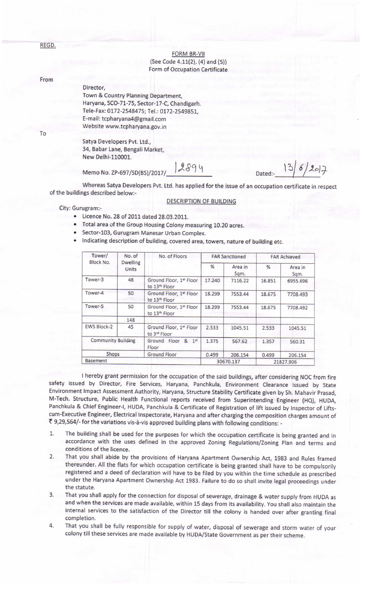REGD.

**FORM BR-VII**  $(See Code 4.11(2), (4) and (5))$ Form of Occupation Certificate

## From

Director, Town & Country Planning Department, Haryana, SCO-71-75, Sector-17-C, Chandigarh. Tele-Fax: 0172-2548475; Tel.: 0172-2549851, E-mail: tcpharyana4@gmail.com Website www.tcpharyana.gov. in

To

Satya Developers Pvt. Ltd., 34, Babar Lane, Bengali Market, New Delhi-110001.

Memo No. ZP-697/SD(BS)/2017/ 2894

 $|3|6|20|7$ Dated:-

Whereas Satya Developers Pvt. Ltd. has applied for the issue of an occupation certificate in respect of the buildings described below:.

**DESCRIPTION OF BUILDING** 

City: Gurugram:-

- . Licence No. 28 0f 2011 dated 29.03.2011.
- . Total area ofthe Group Housing Colony measuring 10.20 acres.
- . Sector-1o3, Gurugram Manesar Urban Complex.
- . Indicating description of building, covered area, towers, nature of building etc.

| Tower/<br>Block No.       | No. of<br><b>Dwelling</b><br>Units | No. of Floors                            | <b>FAR Sanctioned</b> |                 | <b>FAR Achieved</b> |                 |
|---------------------------|------------------------------------|------------------------------------------|-----------------------|-----------------|---------------------|-----------------|
|                           |                                    |                                          | $\frac{9}{6}$         | Area in<br>Sqm. | %                   | Area in<br>Sqm. |
| Tower-3                   | 48                                 | Ground Floor, 1st Floor<br>to 13th Floor | 17.240                | 7116.22         | 16.851              | 6955.696        |
| Tower-4                   | 50                                 | Ground Floor, 1st Floor<br>to 13th Floor | 18.299                | 7553.44         | 18.675              | 7708.493        |
| Tower-5                   | 50                                 | Ground Floor, 1st Floor<br>to 13th Floor | 18.299                | 7553.44         | 18.675              | 7708.492        |
|                           | 148                                |                                          |                       |                 |                     |                 |
| <b>EWS Block-2</b>        | 45                                 | Ground Floor, 1st Floor<br>to 3rd Floor  | 2.533                 | 1045.51         | 2.533               | 1045.51         |
| <b>Community Building</b> |                                    | Ground Floor<br>& 1st<br>Floor           | 1.375                 | 567.62          | 1.357               | 560.31          |
| <b>Shops</b>              |                                    | <b>Ground Floor</b>                      | 0.499                 | 206.154         | 0.499               | 206.154         |
| <b>Basement</b>           |                                    |                                          | 30670.137             |                 | 21827.906           |                 |

<sup>I</sup>hereby grant permission for the occupation of the said buildings, after considering NOC from fire safety issued by Director, Fire Services, Haryana, Panchkula, Environment Clearance issued by State Environment lmpact Assessment Authority, Haryana, Structure Stability Certificate given by Sh. Mahavir prasad, M-Tech. Structure, Public Health Functional reports received from Superintending Engineer (HQ), HUDA, Panchkula & Chief Engineer-|, HUDA, Panchkula & Certificate of Registration of lift issued by Inspector of Liftscum-Executive Engineer, Electrical Inspectorate, Haryana and after charging the composition charges amount of<br>₹ 9,29,564/- for the variations vis-à-vis approved building plans with following conditions: -

- 1. The building shall be used for the purposes for which the occupation certificate is being granted and in accordance with the uses defined in the approved zoning Regulations/Zoning plan and terms and conditions of the licence.
- 2. That you shall abide by the provisions of Haryana Apartment Ownership Act, 1983 and Rules framed thereunder. All the flats for which occupation certificate is being granted shall have to be compulsorily registered and a deed of declaration will have to be filed by you within the time schedule as prescribed under the Haryana Apartment Ownership Act 1983. Failure to do so shall invite legal proceedings under the statute.
- 3. That you shall apply for the connection for disposal of sewerage, drainage & water supply from HUDA as and when the services are made available, within 15 days from its availability. You shall also maintain the internal services to the satisfaction of the Director till the colony is handed over after granting final completion.
- 4. That you shall be fully responsible for supply of water, disposal of sewerage and storm water of vour colony till these services are made available by HUDA/State Government as per their scheme.